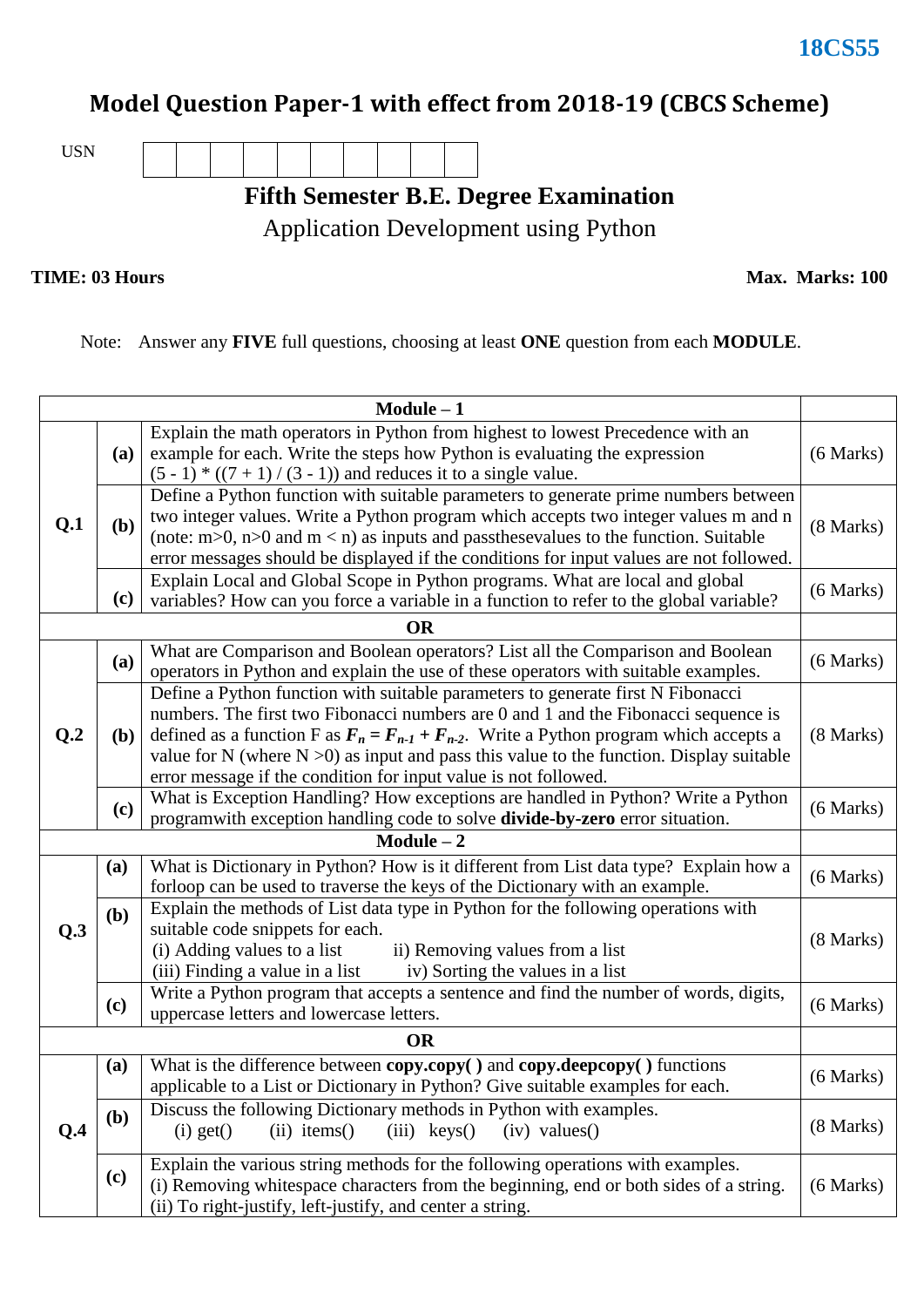# **Model Question Paper-1 with effect from 2018-19 (CBCS Scheme)**

USN

**Fifth Semester B.E. Degree Examination**

Application Development using Python

**TIME: 03 Hours Max. Marks: 100** 

Note: Answer any **FIVE** full questions, choosing at least **ONE** question from each **MODULE**.

|              |              | $Module - 1$                                                                                                                                                                                                                                                                                                                                                                                                                                               |           |  |  |  |  |
|--------------|--------------|------------------------------------------------------------------------------------------------------------------------------------------------------------------------------------------------------------------------------------------------------------------------------------------------------------------------------------------------------------------------------------------------------------------------------------------------------------|-----------|--|--|--|--|
| Q.1          | <b>(a)</b>   | Explain the math operators in Python from highest to lowest Precedence with an<br>example for each. Write the steps how Python is evaluating the expression<br>$(5 - 1) * ((7 + 1) / (3 - 1))$ and reduces it to a single value.                                                                                                                                                                                                                           |           |  |  |  |  |
|              | (b)          | Define a Python function with suitable parameters to generate prime numbers between<br>two integer values. Write a Python program which accepts two integer values m and n<br>(8 Marks)<br>(note: $m>0$ , $n>0$ and $m < n$ ) as inputs and passthesevalues to the function. Suitable<br>error messages should be displayed if the conditions for input values are not followed.                                                                           |           |  |  |  |  |
|              | (c)          | Explain Local and Global Scope in Python programs. What are local and global<br>variables? How can you force a variable in a function to refer to the global variable?                                                                                                                                                                                                                                                                                     | (6 Marks) |  |  |  |  |
|              |              | <b>OR</b>                                                                                                                                                                                                                                                                                                                                                                                                                                                  |           |  |  |  |  |
| Q.2          | (a)          | What are Comparison and Boolean operators? List all the Comparison and Boolean<br>(6 Marks)<br>operators in Python and explain the use of these operators with suitable examples.                                                                                                                                                                                                                                                                          |           |  |  |  |  |
|              | ( <b>b</b> ) | Define a Python function with suitable parameters to generate first N Fibonacci<br>numbers. The first two Fibonacci numbers are 0 and 1 and the Fibonacci sequence is<br>defined as a function F as $F_n = F_{n-1} + F_{n-2}$ . Write a Python program which accepts a<br>$(8$ Marks $)$<br>value for N (where $N > 0$ ) as input and pass this value to the function. Display suitable<br>error message if the condition for input value is not followed. |           |  |  |  |  |
|              | (c)          | What is Exception Handling? How exceptions are handled in Python? Write a Python<br>programwith exception handling code to solve divide-by-zero error situation.                                                                                                                                                                                                                                                                                           | (6 Marks) |  |  |  |  |
| $Module - 2$ |              |                                                                                                                                                                                                                                                                                                                                                                                                                                                            |           |  |  |  |  |
|              | (a)          | What is Dictionary in Python? How is it different from List data type? Explain how a<br>forloop can be used to traverse the keys of the Dictionary with an example.                                                                                                                                                                                                                                                                                        | (6 Marks) |  |  |  |  |
| Q.3          | (b)          | Explain the methods of List data type in Python for the following operations with<br>suitable code snippets for each.<br>(i) Adding values to a list<br>ii) Removing values from a list<br>(iii) Finding a value in a list<br>iv) Sorting the values in a list                                                                                                                                                                                             |           |  |  |  |  |
|              | (c)          | Write a Python program that accepts a sentence and find the number of words, digits,<br>uppercase letters and lowercase letters.                                                                                                                                                                                                                                                                                                                           | (6 Marks) |  |  |  |  |
|              |              | <b>OR</b>                                                                                                                                                                                                                                                                                                                                                                                                                                                  |           |  |  |  |  |
| Q.4          | (a)          | What is the difference between copy.copy() and copy.deepcopy() functions<br>applicable to a List or Dictionary in Python? Give suitable examples for each.                                                                                                                                                                                                                                                                                                 | (6 Marks) |  |  |  |  |
|              | (b)          | Discuss the following Dictionary methods in Python with examples.<br>$(ii)$ items()<br>$(iv)$ values $()$<br>$(i)$ get $()$<br>$(iii)$ keys()                                                                                                                                                                                                                                                                                                              | (8 Marks) |  |  |  |  |
|              | (c)          | Explain the various string methods for the following operations with examples.<br>(i) Removing whitespace characters from the beginning, end or both sides of a string.<br>(ii) To right-justify, left-justify, and center a string.                                                                                                                                                                                                                       | (6 Marks) |  |  |  |  |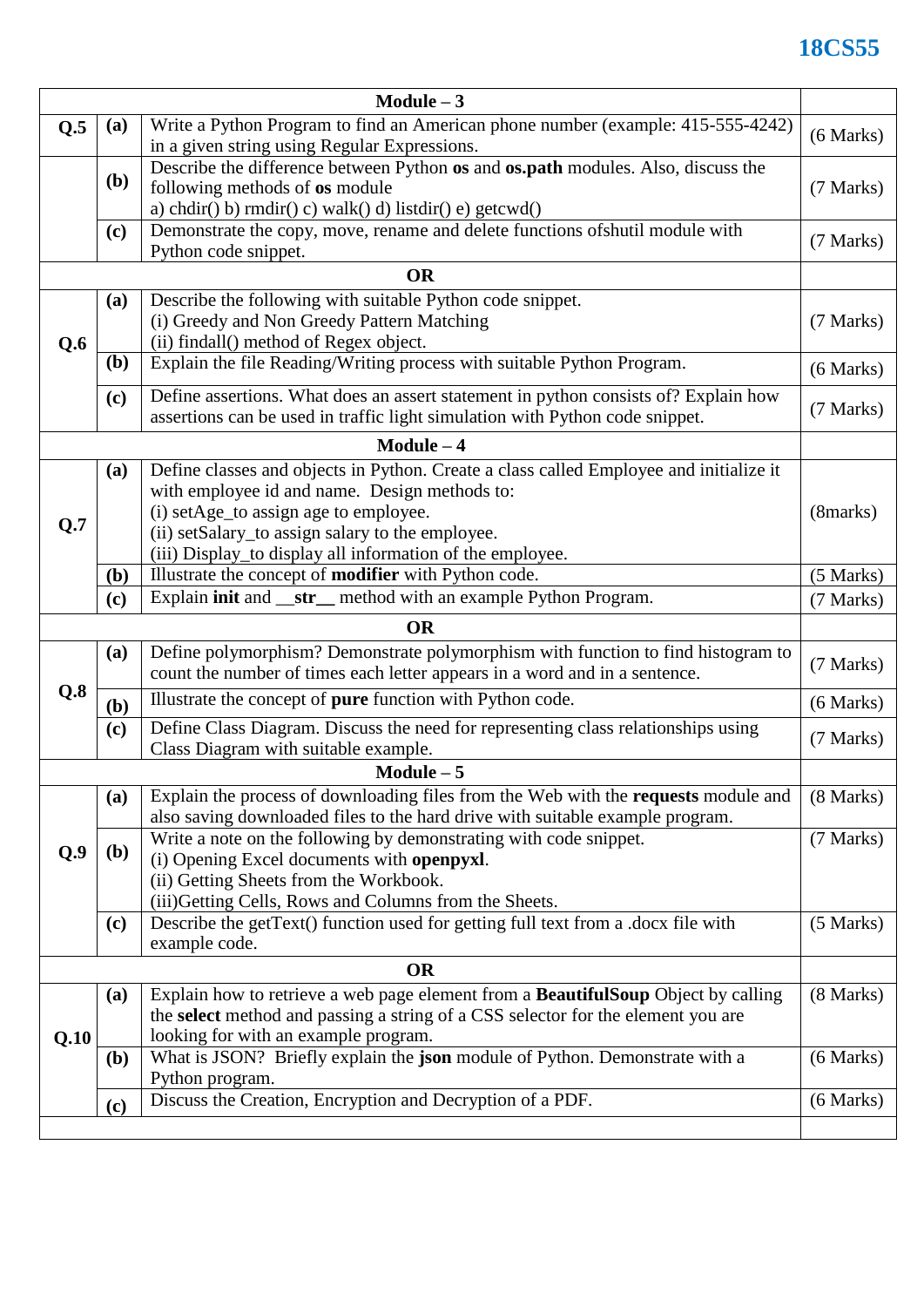## **18CS55**

| Module $-3$ |                                                                                         |                                                                                                                                                     |             |  |  |  |  |
|-------------|-----------------------------------------------------------------------------------------|-----------------------------------------------------------------------------------------------------------------------------------------------------|-------------|--|--|--|--|
| Q.5         | Write a Python Program to find an American phone number (example: 415-555-4242)<br>(a)  |                                                                                                                                                     |             |  |  |  |  |
|             |                                                                                         | in a given string using Regular Expressions.                                                                                                        | (6 Marks)   |  |  |  |  |
|             | Describe the difference between Python os and os.path modules. Also, discuss the<br>(b) |                                                                                                                                                     |             |  |  |  |  |
|             |                                                                                         | following methods of os module                                                                                                                      |             |  |  |  |  |
|             |                                                                                         | a) chdir( $\left(\frac{b}{c}\right)$ mdir( $\left(\frac{c}{c}\right)$ walk( $\left(\frac{d}{d}\right)$ listdir( $\left(\frac{c}{c}\right)$ getcwd() |             |  |  |  |  |
|             | (c)                                                                                     | Demonstrate the copy, move, rename and delete functions of shutil module with                                                                       |             |  |  |  |  |
|             | (7 Marks)<br>Python code snippet.                                                       |                                                                                                                                                     |             |  |  |  |  |
| <b>OR</b>   |                                                                                         |                                                                                                                                                     |             |  |  |  |  |
|             | (a)                                                                                     | Describe the following with suitable Python code snippet.                                                                                           |             |  |  |  |  |
|             |                                                                                         | (i) Greedy and Non Greedy Pattern Matching                                                                                                          | (7 Marks)   |  |  |  |  |
| Q.6         |                                                                                         | (ii) findall() method of Regex object.                                                                                                              |             |  |  |  |  |
|             | <b>(b)</b>                                                                              | Explain the file Reading/Writing process with suitable Python Program.<br>(6 Marks)                                                                 |             |  |  |  |  |
|             | (c)                                                                                     | Define assertions. What does an assert statement in python consists of? Explain how                                                                 |             |  |  |  |  |
|             |                                                                                         | assertions can be used in traffic light simulation with Python code snippet.                                                                        | (7 Marks)   |  |  |  |  |
|             |                                                                                         | $Module - 4$                                                                                                                                        |             |  |  |  |  |
|             |                                                                                         | Define classes and objects in Python. Create a class called Employee and initialize it                                                              |             |  |  |  |  |
|             | (a)                                                                                     | with employee id and name. Design methods to:                                                                                                       |             |  |  |  |  |
|             |                                                                                         |                                                                                                                                                     |             |  |  |  |  |
| Q.7         |                                                                                         | (i) setAge_to assign age to employee.                                                                                                               | (8marks)    |  |  |  |  |
|             |                                                                                         | (ii) setSalary_to assign salary to the employee.                                                                                                    |             |  |  |  |  |
|             |                                                                                         | (iii) Display_to display all information of the employee.<br>Illustrate the concept of modifier with Python code.                                   | $(5$ Marks) |  |  |  |  |
|             | (b)                                                                                     |                                                                                                                                                     | (7 Marks)   |  |  |  |  |
|             | Explain <b>init</b> and <b>__str_</b> method with an example Python Program.<br>(c)     |                                                                                                                                                     |             |  |  |  |  |
| <b>OR</b>   |                                                                                         |                                                                                                                                                     |             |  |  |  |  |
|             |                                                                                         |                                                                                                                                                     |             |  |  |  |  |
|             | (a)                                                                                     | Define polymorphism? Demonstrate polymorphism with function to find histogram to                                                                    |             |  |  |  |  |
|             |                                                                                         | count the number of times each letter appears in a word and in a sentence.                                                                          | (7 Marks)   |  |  |  |  |
| Q.8         | ( <b>b</b> )                                                                            | Illustrate the concept of pure function with Python code.                                                                                           | (6 Marks)   |  |  |  |  |
|             |                                                                                         |                                                                                                                                                     |             |  |  |  |  |
|             | (c)                                                                                     | Define Class Diagram. Discuss the need for representing class relationships using                                                                   | (7 Marks)   |  |  |  |  |
|             |                                                                                         | Class Diagram with suitable example.<br>$Module - 5$                                                                                                |             |  |  |  |  |
|             |                                                                                         | Explain the process of downloading files from the Web with the <b>requests</b> module and                                                           | (8 Marks)   |  |  |  |  |
|             | (a)                                                                                     |                                                                                                                                                     |             |  |  |  |  |
|             |                                                                                         | also saving downloaded files to the hard drive with suitable example program.                                                                       |             |  |  |  |  |
| Q.9         | <b>(b)</b>                                                                              | Write a note on the following by demonstrating with code snippet.                                                                                   | (7 Marks)   |  |  |  |  |
|             |                                                                                         | (i) Opening Excel documents with openpyxl.                                                                                                          |             |  |  |  |  |
|             |                                                                                         | (ii) Getting Sheets from the Workbook.                                                                                                              |             |  |  |  |  |
|             |                                                                                         | (iii)Getting Cells, Rows and Columns from the Sheets.                                                                                               |             |  |  |  |  |
|             | (c)                                                                                     | Describe the getText() function used for getting full text from a .docx file with                                                                   | $(5$ Marks) |  |  |  |  |
|             |                                                                                         | example code.<br><b>OR</b>                                                                                                                          |             |  |  |  |  |
|             |                                                                                         |                                                                                                                                                     |             |  |  |  |  |
|             | (a)                                                                                     | Explain how to retrieve a web page element from a BeautifulSoup Object by calling                                                                   | (8 Marks)   |  |  |  |  |
|             |                                                                                         | the select method and passing a string of a CSS selector for the element you are                                                                    |             |  |  |  |  |
| Q.10        |                                                                                         | looking for with an example program.                                                                                                                |             |  |  |  |  |
|             | <b>(b)</b>                                                                              | What is JSON? Briefly explain the json module of Python. Demonstrate with a                                                                         | (6 Marks)   |  |  |  |  |
|             |                                                                                         | Python program.                                                                                                                                     |             |  |  |  |  |
|             | (c)                                                                                     | Discuss the Creation, Encryption and Decryption of a PDF.                                                                                           | (6 Marks)   |  |  |  |  |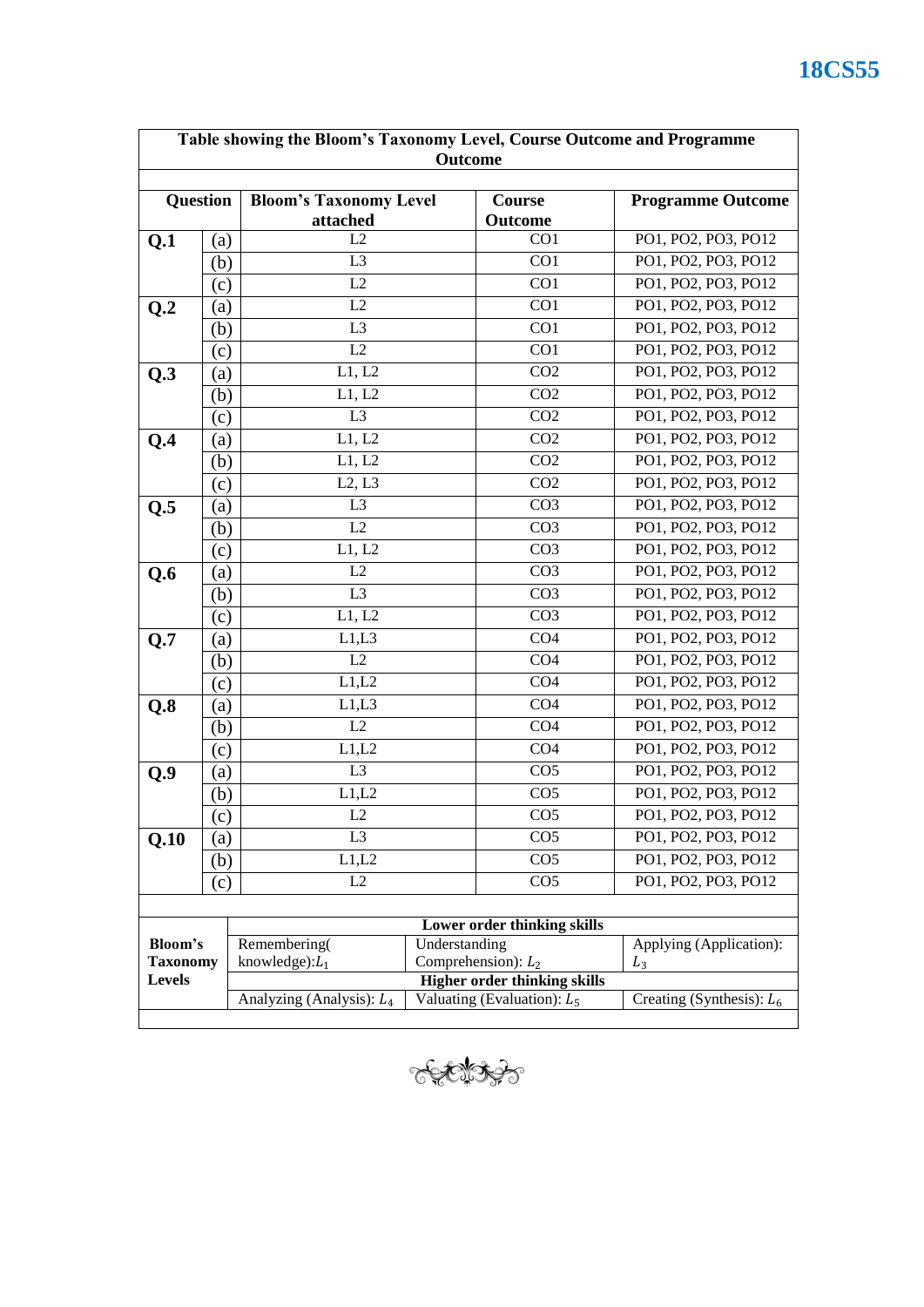| Table showing the Bloom's Taxonomy Level, Course Outcome and Programme<br>Outcome |                            |                                                                                                     |  |                             |                             |
|-----------------------------------------------------------------------------------|----------------------------|-----------------------------------------------------------------------------------------------------|--|-----------------------------|-----------------------------|
|                                                                                   |                            |                                                                                                     |  |                             |                             |
| <b>Question</b>                                                                   |                            | <b>Bloom's Taxonomy Level</b><br>attached                                                           |  | <b>Course</b><br>Outcome    | <b>Programme Outcome</b>    |
| Q.1                                                                               | (a)                        | L2                                                                                                  |  | CO1                         | PO1, PO2, PO3, PO12         |
|                                                                                   | (b)                        | L <sub>3</sub>                                                                                      |  | CO1                         | PO1, PO2, PO3, PO12         |
|                                                                                   | (c)                        | L2                                                                                                  |  | CO1                         | PO1, PO2, PO3, PO12         |
| Q.2                                                                               | (a)                        | L2                                                                                                  |  | CO1                         | PO1, PO2, PO3, PO12         |
|                                                                                   | (b)                        | L <sub>3</sub>                                                                                      |  | CO1                         | PO1, PO2, PO3, PO12         |
|                                                                                   | (c)                        | L2                                                                                                  |  | CO1                         | PO1, PO2, PO3, PO12         |
| Q.3                                                                               | (a)                        | L1, L2                                                                                              |  | CO <sub>2</sub>             | PO1, PO2, PO3, PO12         |
|                                                                                   | (b)                        | L1, L2                                                                                              |  | CO <sub>2</sub>             | PO1, PO2, PO3, PO12         |
|                                                                                   | (c)                        | L <sub>3</sub>                                                                                      |  | CO <sub>2</sub>             | PO1, PO2, PO3, PO12         |
| Q.4                                                                               | (a)                        | L1, L2                                                                                              |  | CO <sub>2</sub>             | PO1, PO2, PO3, PO12         |
|                                                                                   | (b)                        | L1, L2                                                                                              |  | CO <sub>2</sub>             | PO1, PO2, PO3, PO12         |
|                                                                                   | (c)                        | L2, L3                                                                                              |  | CO <sub>2</sub>             | PO1, PO2, PO3, PO12         |
| Q.5                                                                               | (a)                        | L <sub>3</sub>                                                                                      |  | CO <sub>3</sub>             | PO1, PO2, PO3, PO12         |
|                                                                                   | (b)                        | L2                                                                                                  |  | CO <sub>3</sub>             | PO1, PO2, PO3, PO12         |
|                                                                                   | (c)                        | L1, L2                                                                                              |  | CO <sub>3</sub>             | PO1, PO2, PO3, PO12         |
| Q.6                                                                               | (a)                        | L2                                                                                                  |  | CO <sub>3</sub>             | PO1, PO2, PO3, PO12         |
|                                                                                   | (b)                        | L <sub>3</sub>                                                                                      |  | CO <sub>3</sub>             | PO1, PO2, PO3, PO12         |
|                                                                                   | (c)                        | L1, L2                                                                                              |  | CO <sub>3</sub>             | PO1, PO2, PO3, PO12         |
| Q.7                                                                               | $\left( a\right)$          | L1,L3                                                                                               |  | CO <sub>4</sub>             | PO1, PO2, PO3, PO12         |
|                                                                                   | (b)                        | $\overline{L2}$                                                                                     |  | $\overline{CO4}$            | PO1, PO2, PO3, PO12         |
|                                                                                   | $\left( \mathrm{c}\right)$ | L1,L2                                                                                               |  | CO <sub>4</sub>             | PO1, PO2, PO3, PO12         |
| Q.8                                                                               | (a)                        | L1,L3                                                                                               |  | CO4                         | PO1, PO2, PO3, PO12         |
|                                                                                   | (b)                        | L2                                                                                                  |  | CO <sub>4</sub>             | PO1, PO2, PO3, PO12         |
|                                                                                   | (c)                        | L1,L2                                                                                               |  | CO <sub>4</sub>             | PO1, PO2, PO3, PO12         |
| Q.9                                                                               | (a)                        | L <sub>3</sub>                                                                                      |  | CO <sub>5</sub>             | PO1, PO2, PO3, PO12         |
|                                                                                   | (b)                        | L1,L2                                                                                               |  | CO <sub>5</sub>             | PO1, PO2, PO3, PO12         |
|                                                                                   | (c)                        | L2                                                                                                  |  | CO <sub>5</sub>             | PO1, PO2, PO3, PO12         |
| Q.10                                                                              | (a)                        | L <sub>3</sub>                                                                                      |  | CO <sub>5</sub>             | PO1, PO2, PO3, PO12         |
|                                                                                   | (b)                        | L1,L2                                                                                               |  | CO <sub>5</sub>             | PO1, PO2, PO3, PO12         |
|                                                                                   | (c)                        | L2                                                                                                  |  | CO <sub>5</sub>             | PO1, PO2, PO3, PO12         |
|                                                                                   |                            |                                                                                                     |  |                             |                             |
|                                                                                   |                            |                                                                                                     |  | Lower order thinking skills |                             |
| Bloom's                                                                           |                            | Understanding<br>Remembering(                                                                       |  |                             | Applying (Application):     |
| <b>Taxonomy</b><br><b>Levels</b>                                                  |                            | Comprehension): $L_2$<br>knowledge): $L_1$<br>$L_3$                                                 |  |                             |                             |
|                                                                                   |                            | <b>Higher order thinking skills</b><br>Valuating (Evaluation): $L_5$<br>Analyzing (Analysis): $L_4$ |  |                             | Creating (Synthesis): $L_6$ |
|                                                                                   |                            |                                                                                                     |  |                             |                             |

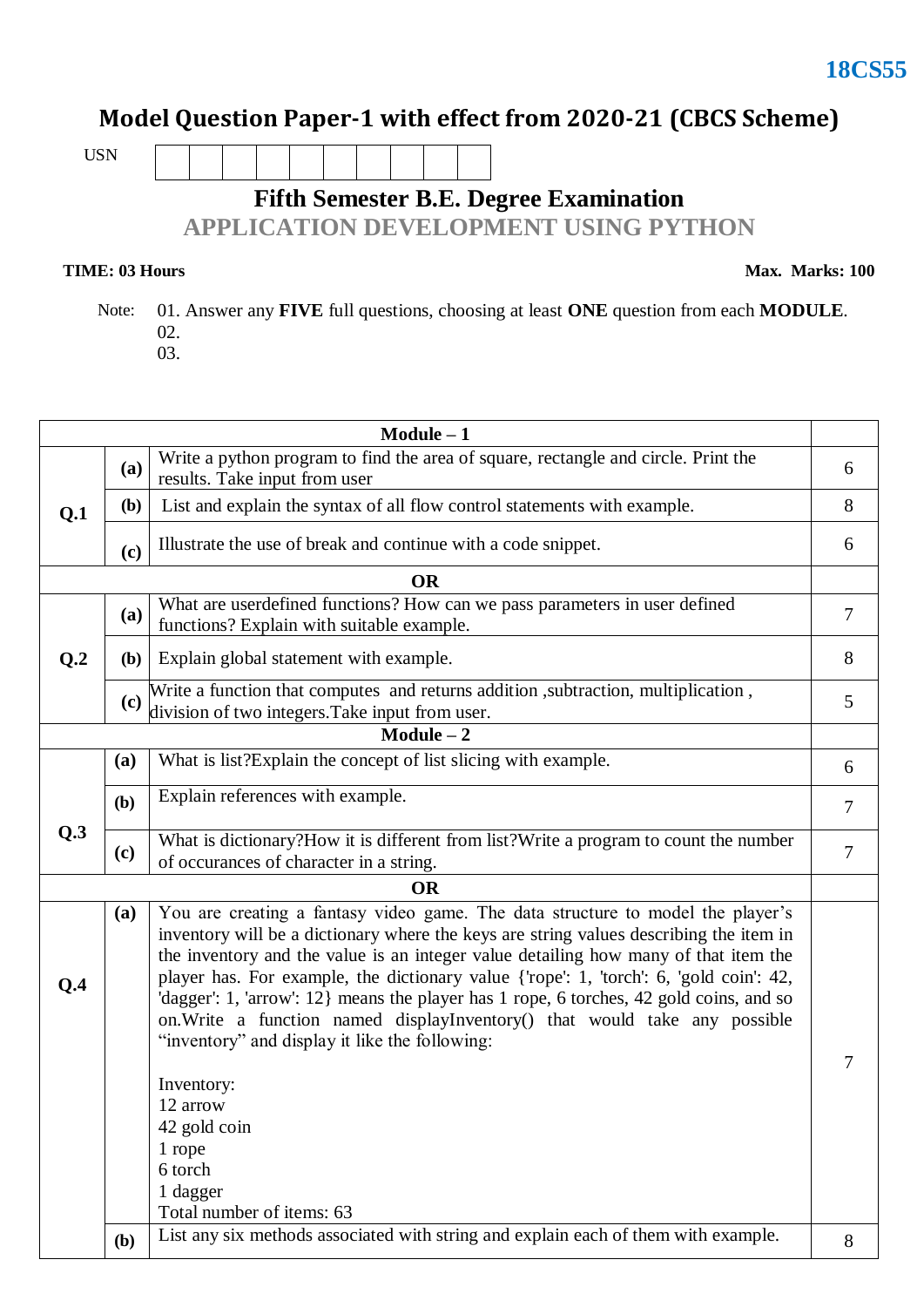#### **Model Question Paper-1 with effect from 2020-21 (CBCS Scheme)**

USN

### **Fifth Semester B.E. Degree Examination**

**APPLICATION DEVELOPMENT USING PYTHON**

#### **TIME: 03 Hours**

**Max. Marks: 100**

 Note: 01. Answer any **FIVE** full questions, choosing at least **ONE** question from each **MODULE**. 02. 03.

**Module – 1 Q.1 (a)** Write a python program to find the area of square, rectangle and circle. Print the which a python program to find the area of square, rectangle and circle. Find the results. Take input from user **(b)** List and explain the syntax of all flow control statements with example. 8 **(c)** Illustrate the use of break and continue with a code snippet. 6 **OR Q.2 (a)** What are userdefined functions? How can we pass parameters in user defined Functions? Explain with suitable example. **(b)** Explain global statement with example. 8 **(c)** Write a function that computes and returns addition ,subtraction, multiplication , whic a function that computes and returns addition, subtraction, multiplication,  $\frac{1}{5}$ **Module – 2 Q.3 (a)** What is list?Explain the concept of list slicing with example.  $\begin{bmatrix} 6 \end{bmatrix}$ **(b)** Explain references with example. 7 **(c)** What is dictionary?How it is different from list?Write a program to count the number what is dictionary? How it is different from fist? Write a program to count the number  $\begin{bmatrix} 7 \end{bmatrix}$ **OR Q.4 (a)** You are creating a fantasy video game. The data structure to model the player's inventory will be a dictionary where the keys are string values describing the item in the inventory and the value is an integer value detailing how many of that item the player has. For example, the dictionary value {'rope': 1, 'torch': 6, 'gold coin': 42, 'dagger': 1, 'arrow': 12} means the player has 1 rope, 6 torches, 42 gold coins, and so on.Write a function named displayInventory() that would take any possible "inventory" and display it like the following: Inventory: 12 arrow 42 gold coin 1 rope 6 torch 1 dagger Total number of items: 63 7 **(b)** List any six methods associated with string and explain each of them with example.  $\begin{vmatrix} 8 \\ 8 \end{vmatrix}$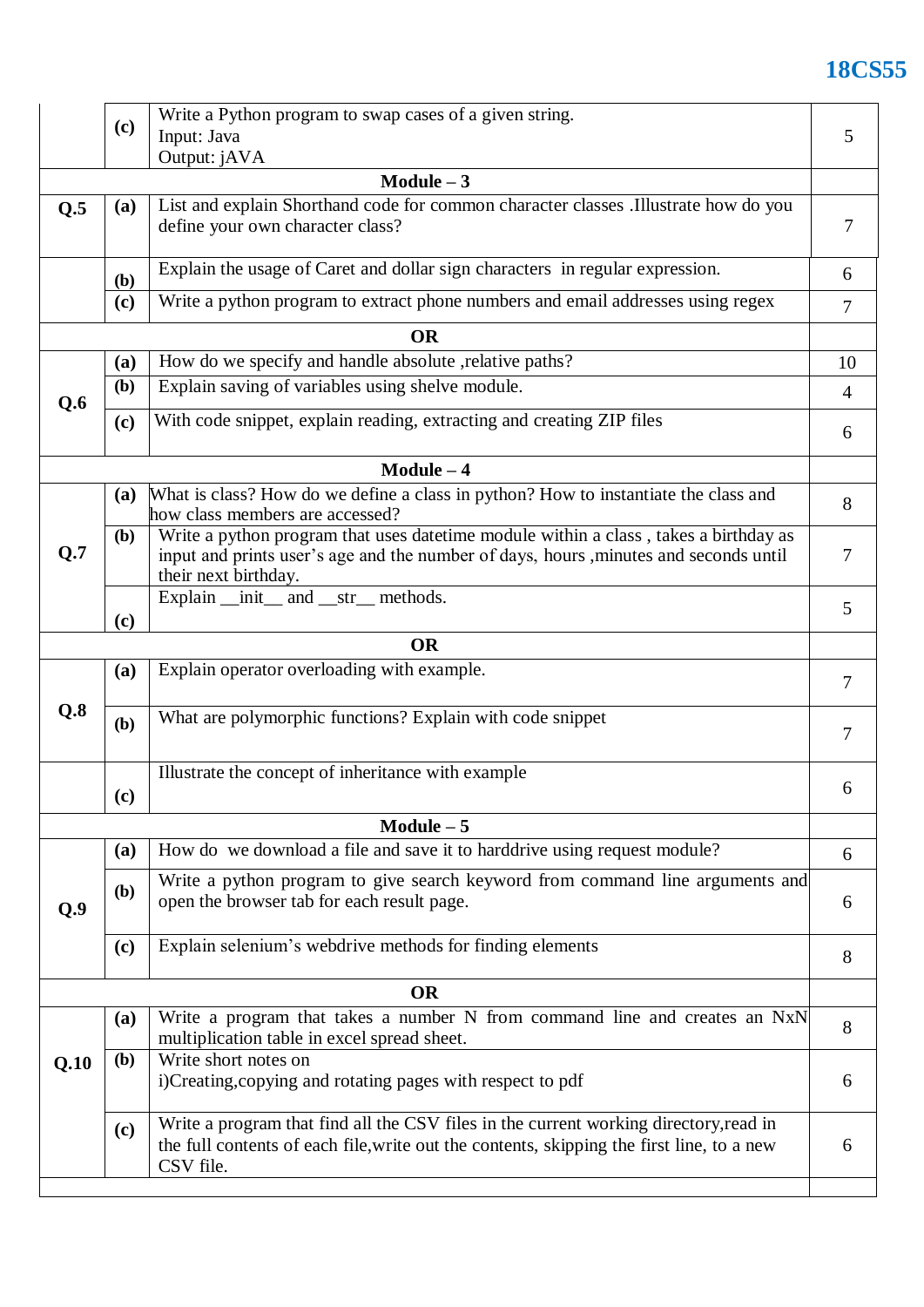# **18CS55**

|      | (c)          | Write a Python program to swap cases of a given string.                                                                                                                                               | 5              |  |  |  |
|------|--------------|-------------------------------------------------------------------------------------------------------------------------------------------------------------------------------------------------------|----------------|--|--|--|
|      |              | Input: Java                                                                                                                                                                                           |                |  |  |  |
|      |              | Output: jAVA<br>$Module - 3$                                                                                                                                                                          |                |  |  |  |
|      |              |                                                                                                                                                                                                       |                |  |  |  |
| Q.5  | (a)          | List and explain Shorthand code for common character classes .Illustrate how do you<br>define your own character class?                                                                               | 7              |  |  |  |
|      | (b)          | Explain the usage of Caret and dollar sign characters in regular expression.                                                                                                                          | 6              |  |  |  |
|      | (c)          | Write a python program to extract phone numbers and email addresses using regex                                                                                                                       | $\overline{7}$ |  |  |  |
|      |              | <b>OR</b>                                                                                                                                                                                             |                |  |  |  |
|      | (a)          | How do we specify and handle absolute, relative paths?                                                                                                                                                | 10             |  |  |  |
| Q.6  | (b)          | Explain saving of variables using shelve module.                                                                                                                                                      |                |  |  |  |
|      | (c)          | With code snippet, explain reading, extracting and creating ZIP files                                                                                                                                 |                |  |  |  |
|      |              | $Module - 4$                                                                                                                                                                                          |                |  |  |  |
|      | <b>(a)</b>   | What is class? How do we define a class in python? How to instantiate the class and<br>how class members are accessed?                                                                                | 8              |  |  |  |
| Q.7  | <b>(b)</b>   | Write a python program that uses datetime module within a class, takes a birthday as<br>input and prints user's age and the number of days, hours , minutes and seconds until<br>their next birthday. | 7              |  |  |  |
|      |              | Explain __init__ and __str__ methods.                                                                                                                                                                 | 5              |  |  |  |
|      | (c)          | <b>OR</b>                                                                                                                                                                                             |                |  |  |  |
|      |              |                                                                                                                                                                                                       |                |  |  |  |
|      | (a)          | Explain operator overloading with example.                                                                                                                                                            | $\overline{7}$ |  |  |  |
| Q.8  | (b)          | What are polymorphic functions? Explain with code snippet                                                                                                                                             | $\tau$         |  |  |  |
|      | (c)          | Illustrate the concept of inheritance with example                                                                                                                                                    | 6              |  |  |  |
|      |              | $Module - 5$                                                                                                                                                                                          |                |  |  |  |
|      | (a)          | How do we download a file and save it to harddrive using request module?                                                                                                                              | 6              |  |  |  |
| Q.9  | (b)          | Write a python program to give search keyword from command line arguments and<br>open the browser tab for each result page.                                                                           |                |  |  |  |
|      | (c)          | Explain selenium's webdrive methods for finding elements                                                                                                                                              | 8              |  |  |  |
|      |              | <b>OR</b>                                                                                                                                                                                             |                |  |  |  |
|      | (a)          | Write a program that takes a number N from command line and creates an NxN<br>multiplication table in excel spread sheet.                                                                             | 8              |  |  |  |
| Q.10 | ( <b>b</b> ) | Write short notes on<br>i)Creating, copying and rotating pages with respect to pdf                                                                                                                    | 6              |  |  |  |
|      | (c)          | Write a program that find all the CSV files in the current working directory, read in<br>the full contents of each file, write out the contents, skipping the first line, to a new<br>CSV file.       | 6              |  |  |  |
|      |              |                                                                                                                                                                                                       |                |  |  |  |